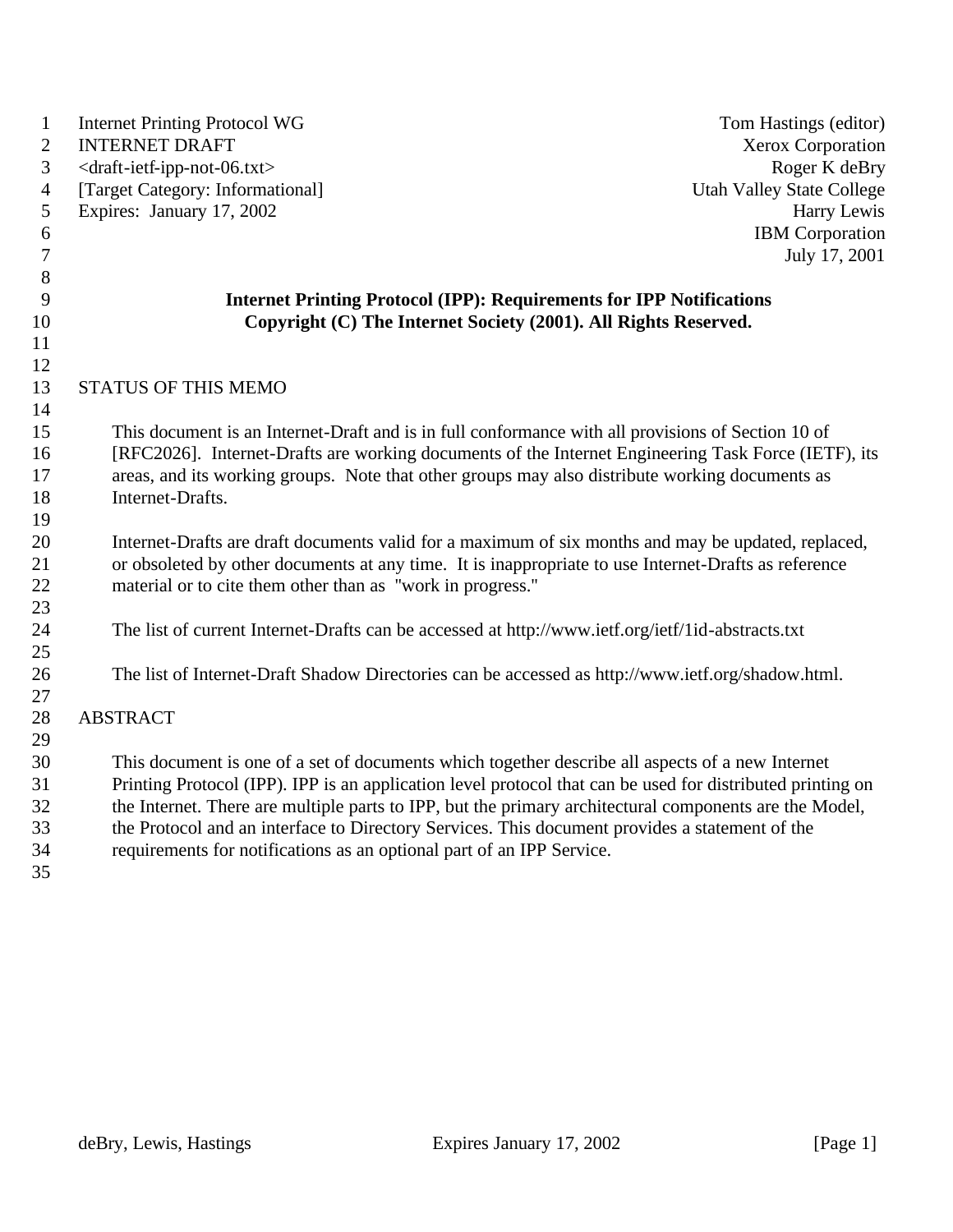| $\mathbf{1}$<br>$\overline{2}$ | <b>Internet Printing Protocol WG</b><br><b>INTERNET DRAFT</b>                                                                                                                                               | Tom Hastings (editor)<br>Xerox Corporation |
|--------------------------------|-------------------------------------------------------------------------------------------------------------------------------------------------------------------------------------------------------------|--------------------------------------------|
| 3                              | <draft-ietf-ipp-not-06.txt></draft-ietf-ipp-not-06.txt>                                                                                                                                                     | Roger K deBry                              |
| $\overline{4}$                 | [Target Category: Informational]                                                                                                                                                                            | <b>Utah Valley State College</b>           |
| 5                              | Expires: January 17, 2002                                                                                                                                                                                   | Harry Lewis                                |
| 6                              |                                                                                                                                                                                                             | <b>IBM</b> Corporation                     |
| $\overline{7}$                 |                                                                                                                                                                                                             | July 17, 2001                              |
| 8                              |                                                                                                                                                                                                             |                                            |
| 9                              | <b>Internet Printing Protocol (IPP): Requirements for IPP Notifications</b>                                                                                                                                 |                                            |
| 10                             | Copyright (C) The Internet Society (2001). All Rights Reserved.                                                                                                                                             |                                            |
| 11                             |                                                                                                                                                                                                             |                                            |
| 12                             |                                                                                                                                                                                                             |                                            |
| 13                             | <b>STATUS OF THIS MEMO</b>                                                                                                                                                                                  |                                            |
| 14                             |                                                                                                                                                                                                             |                                            |
| 15                             | This document is an Internet-Draft and is in full conformance with all provisions of Section 10 of                                                                                                          |                                            |
| 16                             | [RFC2026]. Internet-Drafts are working documents of the Internet Engineering Task Force (IETF), its                                                                                                         |                                            |
| 17                             | areas, and its working groups. Note that other groups may also distribute working documents as                                                                                                              |                                            |
| 18                             | Internet-Drafts.                                                                                                                                                                                            |                                            |
| 19                             |                                                                                                                                                                                                             |                                            |
| 20<br>21                       | Internet-Drafts are draft documents valid for a maximum of six months and may be updated, replaced,<br>or obsoleted by other documents at any time. It is inappropriate to use Internet-Drafts as reference |                                            |
| 22                             | material or to cite them other than as "work in progress."                                                                                                                                                  |                                            |
| 23                             |                                                                                                                                                                                                             |                                            |
| 24                             | The list of current Internet-Drafts can be accessed at http://www.ietf.org/ietf/1id-abstracts.txt                                                                                                           |                                            |
| 25                             |                                                                                                                                                                                                             |                                            |
| 26                             | The list of Internet-Draft Shadow Directories can be accessed as http://www.ietf.org/shadow.html.                                                                                                           |                                            |
| 27                             |                                                                                                                                                                                                             |                                            |
| 28                             | <b>ABSTRACT</b>                                                                                                                                                                                             |                                            |
| 29                             |                                                                                                                                                                                                             |                                            |
| 30                             | This document is one of a set of documents which together describe all aspects of a new Internet                                                                                                            |                                            |
| 31                             | Printing Protocol (IPP). IPP is an application level protocol that can be used for distributed printing on                                                                                                  |                                            |
| 32                             | the Internet. There are multiple parts to IPP, but the primary architectural components are the Model,                                                                                                      |                                            |
| 33                             | the Protocol and an interface to Directory Services. This document provides a statement of the                                                                                                              |                                            |
| 34                             | requirements for notifications as an optional part of an IPP Service.                                                                                                                                       |                                            |
| 35                             |                                                                                                                                                                                                             |                                            |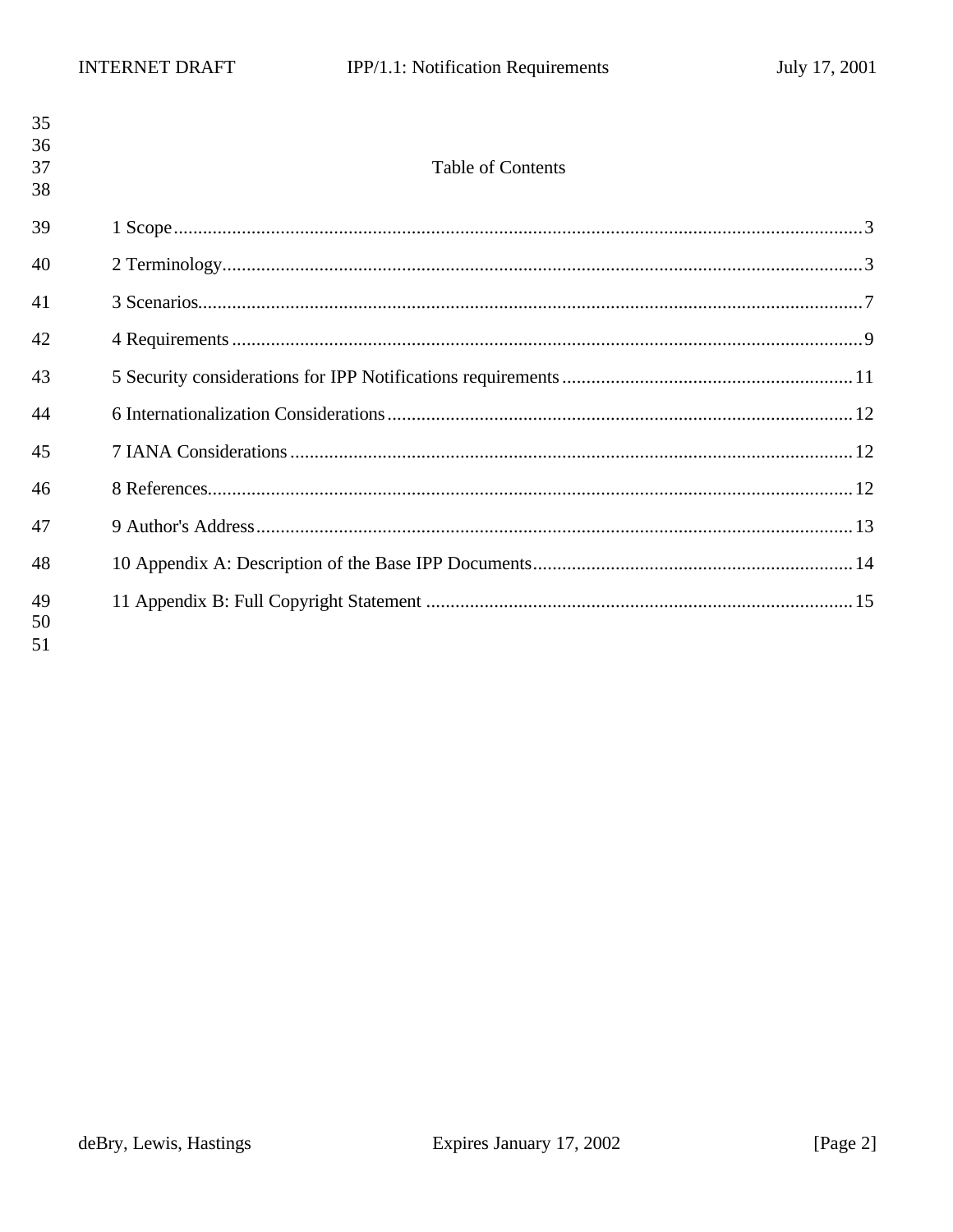| 35<br>36<br>37 | <b>Table of Contents</b> |  |
|----------------|--------------------------|--|
| 38             |                          |  |
| 39             |                          |  |
| 40             |                          |  |
| 41             |                          |  |
| 42             |                          |  |
| 43             |                          |  |
| 44             |                          |  |
| 45             |                          |  |
| 46             |                          |  |
| 47             |                          |  |
| 48             |                          |  |
| 49<br>50<br>51 |                          |  |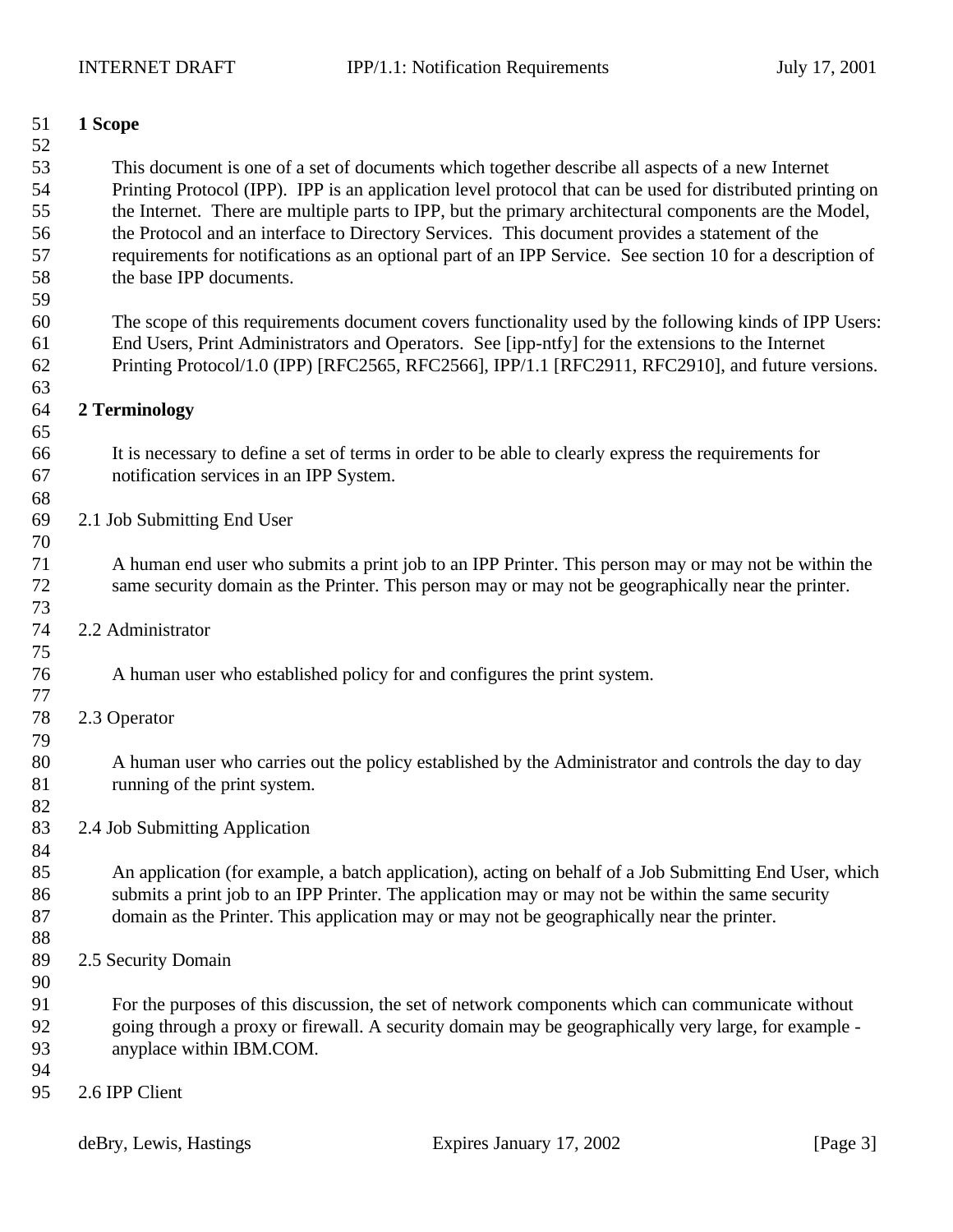| 51       | 1 Scope                                                                                                                                                                                                        |
|----------|----------------------------------------------------------------------------------------------------------------------------------------------------------------------------------------------------------------|
| 52<br>53 |                                                                                                                                                                                                                |
| 54       | This document is one of a set of documents which together describe all aspects of a new Internet<br>Printing Protocol (IPP). IPP is an application level protocol that can be used for distributed printing on |
| 55       | the Internet. There are multiple parts to IPP, but the primary architectural components are the Model,                                                                                                         |
| 56       | the Protocol and an interface to Directory Services. This document provides a statement of the                                                                                                                 |
| 57       | requirements for notifications as an optional part of an IPP Service. See section 10 for a description of                                                                                                      |
| 58       | the base IPP documents.                                                                                                                                                                                        |
| 59       |                                                                                                                                                                                                                |
| 60       | The scope of this requirements document covers functionality used by the following kinds of IPP Users:                                                                                                         |
| 61       | End Users, Print Administrators and Operators. See [ipp-ntfy] for the extensions to the Internet                                                                                                               |
| 62       | Printing Protocol/1.0 (IPP) [RFC2565, RFC2566], IPP/1.1 [RFC2911, RFC2910], and future versions.                                                                                                               |
| 63       |                                                                                                                                                                                                                |
| 64       | 2 Terminology                                                                                                                                                                                                  |
| 65       |                                                                                                                                                                                                                |
| 66       | It is necessary to define a set of terms in order to be able to clearly express the requirements for                                                                                                           |
| 67       | notification services in an IPP System.                                                                                                                                                                        |
| 68       |                                                                                                                                                                                                                |
| 69       | 2.1 Job Submitting End User                                                                                                                                                                                    |
| 70       |                                                                                                                                                                                                                |
| 71       | A human end user who submits a print job to an IPP Printer. This person may or may not be within the                                                                                                           |
| 72       | same security domain as the Printer. This person may or may not be geographically near the printer.                                                                                                            |
| 73<br>74 | 2.2 Administrator                                                                                                                                                                                              |
| 75       |                                                                                                                                                                                                                |
| 76       | A human user who established policy for and configures the print system.                                                                                                                                       |
| 77       |                                                                                                                                                                                                                |
| 78       | 2.3 Operator                                                                                                                                                                                                   |
| 79       |                                                                                                                                                                                                                |
| 80       | A human user who carries out the policy established by the Administrator and controls the day to day                                                                                                           |
| 81       | running of the print system.                                                                                                                                                                                   |
| 82       |                                                                                                                                                                                                                |
| 83       | 2.4 Job Submitting Application                                                                                                                                                                                 |
| 84       |                                                                                                                                                                                                                |
| 85       | An application (for example, a batch application), acting on behalf of a Job Submitting End User, which                                                                                                        |
| 86       | submits a print job to an IPP Printer. The application may or may not be within the same security                                                                                                              |
| 87       | domain as the Printer. This application may or may not be geographically near the printer.                                                                                                                     |
| 88       |                                                                                                                                                                                                                |
| 89<br>90 | 2.5 Security Domain                                                                                                                                                                                            |
| 91       | For the purposes of this discussion, the set of network components which can communicate without                                                                                                               |
| 92       | going through a proxy or firewall. A security domain may be geographically very large, for example -                                                                                                           |
| 93       | anyplace within IBM.COM.                                                                                                                                                                                       |
| 94       |                                                                                                                                                                                                                |
| 95       | 2.6 IPP Client                                                                                                                                                                                                 |
|          |                                                                                                                                                                                                                |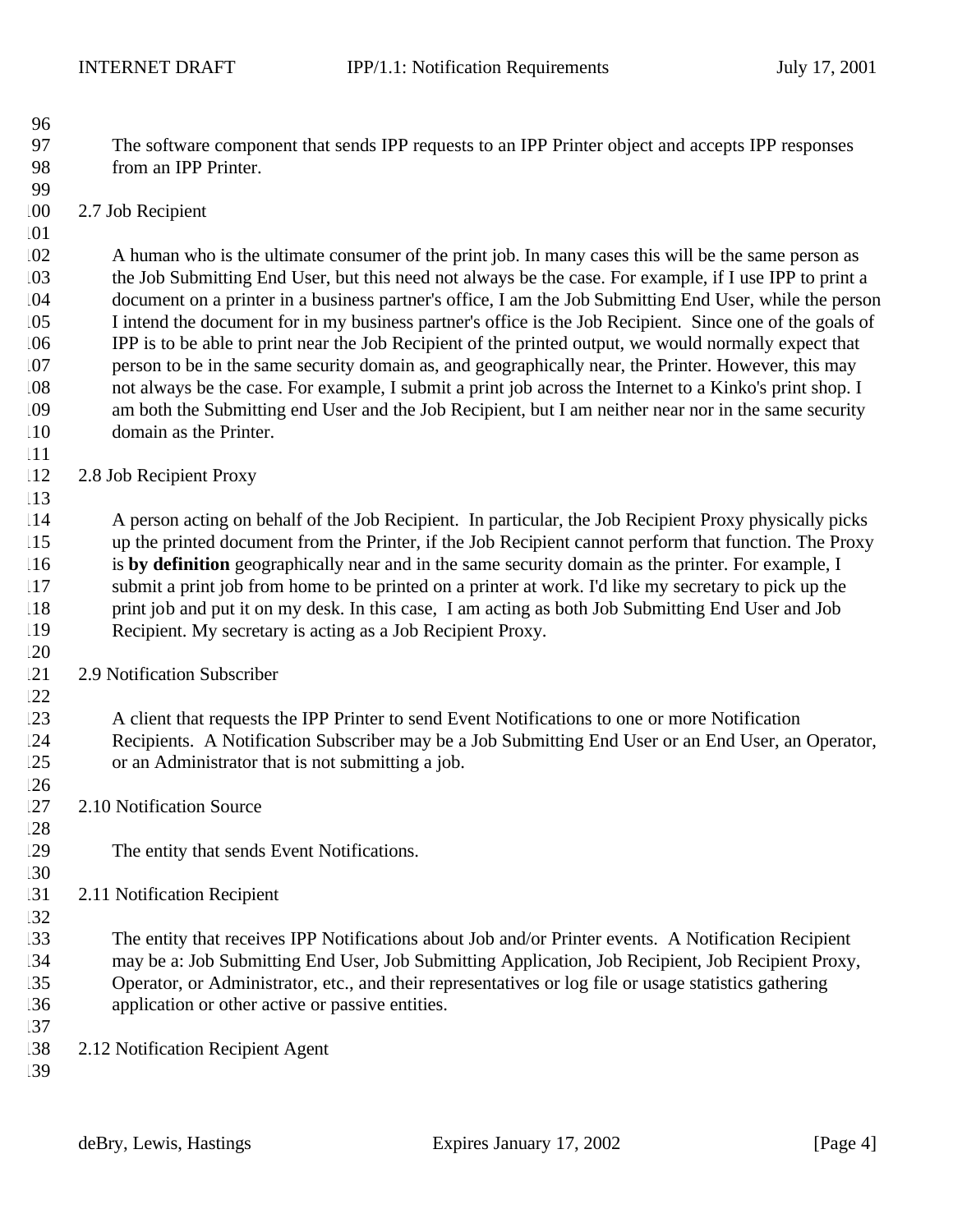- The software component that sends IPP requests to an IPP Printer object and accepts IPP responses from an IPP Printer.
- 2.7 Job Recipient

 A human who is the ultimate consumer of the print job. In many cases this will be the same person as the Job Submitting End User, but this need not always be the case. For example, if I use IPP to print a document on a printer in a business partner's office, I am the Job Submitting End User, while the person I intend the document for in my business partner's office is the Job Recipient. Since one of the goals of IPP is to be able to print near the Job Recipient of the printed output, we would normally expect that person to be in the same security domain as, and geographically near, the Printer. However, this may not always be the case. For example, I submit a print job across the Internet to a Kinko's print shop. I am both the Submitting end User and the Job Recipient, but I am neither near nor in the same security domain as the Printer.

2.8 Job Recipient Proxy

 A person acting on behalf of the Job Recipient. In particular, the Job Recipient Proxy physically picks up the printed document from the Printer, if the Job Recipient cannot perform that function. The Proxy is **by definition** geographically near and in the same security domain as the printer. For example, I submit a print job from home to be printed on a printer at work. I'd like my secretary to pick up the print job and put it on my desk. In this case, I am acting as both Job Submitting End User and Job Recipient. My secretary is acting as a Job Recipient Proxy.

2.9 Notification Subscriber

 A client that requests the IPP Printer to send Event Notifications to one or more Notification Recipients. A Notification Subscriber may be a Job Submitting End User or an End User, an Operator, or an Administrator that is not submitting a job.

- 127 2.10 Notification Source
- The entity that sends Event Notifications.
- 2.11 Notification Recipient

 The entity that receives IPP Notifications about Job and/or Printer events. A Notification Recipient may be a: Job Submitting End User, Job Submitting Application, Job Recipient, Job Recipient Proxy, Operator, or Administrator, etc., and their representatives or log file or usage statistics gathering application or other active or passive entities. 

- 2.12 Notification Recipient Agent
-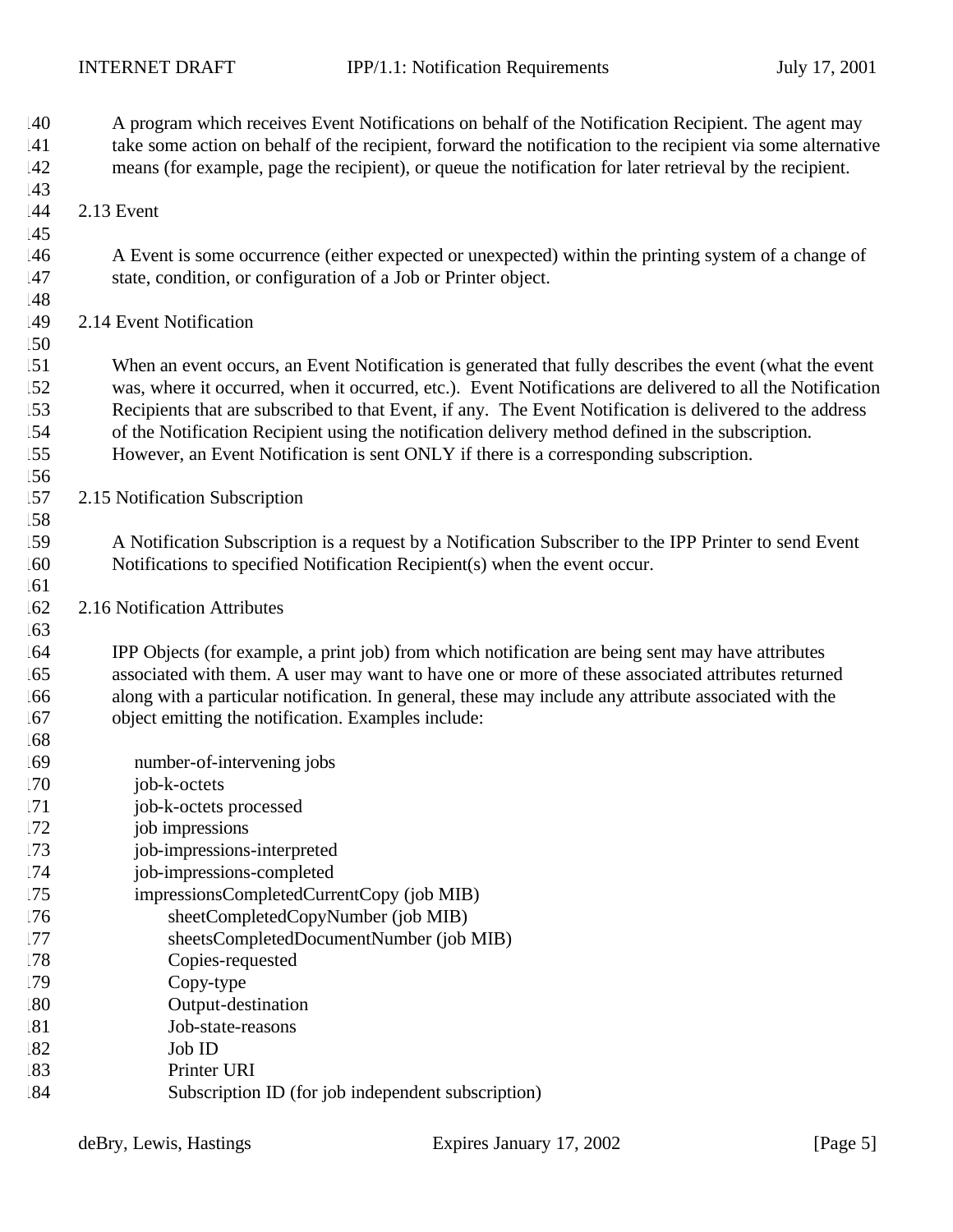| .40<br>41<br>42<br>.43 | A program which receives Event Notifications on behalf of the Notification Recipient. The agent may<br>take some action on behalf of the recipient, forward the notification to the recipient via some alternative<br>means (for example, page the recipient), or queue the notification for later retrieval by the recipient. |
|------------------------|--------------------------------------------------------------------------------------------------------------------------------------------------------------------------------------------------------------------------------------------------------------------------------------------------------------------------------|
| .44                    | 2.13 Event                                                                                                                                                                                                                                                                                                                     |
| 45                     |                                                                                                                                                                                                                                                                                                                                |
| .46<br>.47             | A Event is some occurrence (either expected or unexpected) within the printing system of a change of<br>state, condition, or configuration of a Job or Printer object.                                                                                                                                                         |
| .48                    |                                                                                                                                                                                                                                                                                                                                |
| 49                     | 2.14 Event Notification                                                                                                                                                                                                                                                                                                        |
| .50                    |                                                                                                                                                                                                                                                                                                                                |
| 51                     | When an event occurs, an Event Notification is generated that fully describes the event (what the event                                                                                                                                                                                                                        |
| .52                    | was, where it occurred, when it occurred, etc.). Event Notifications are delivered to all the Notification                                                                                                                                                                                                                     |
| .53                    | Recipients that are subscribed to that Event, if any. The Event Notification is delivered to the address                                                                                                                                                                                                                       |
| 54                     | of the Notification Recipient using the notification delivery method defined in the subscription.                                                                                                                                                                                                                              |
| .55                    | However, an Event Notification is sent ONLY if there is a corresponding subscription.                                                                                                                                                                                                                                          |
| .56                    |                                                                                                                                                                                                                                                                                                                                |
| .57                    | 2.15 Notification Subscription                                                                                                                                                                                                                                                                                                 |
| .58                    |                                                                                                                                                                                                                                                                                                                                |
| .59                    | A Notification Subscription is a request by a Notification Subscriber to the IPP Printer to send Event                                                                                                                                                                                                                         |
| .60                    | Notifications to specified Notification Recipient(s) when the event occur.                                                                                                                                                                                                                                                     |
| .61<br>.62             | 2.16 Notification Attributes                                                                                                                                                                                                                                                                                                   |
| .63                    |                                                                                                                                                                                                                                                                                                                                |
| .64                    | IPP Objects (for example, a print job) from which notification are being sent may have attributes                                                                                                                                                                                                                              |
| .65                    | associated with them. A user may want to have one or more of these associated attributes returned                                                                                                                                                                                                                              |
| .66                    | along with a particular notification. In general, these may include any attribute associated with the                                                                                                                                                                                                                          |
| .67                    | object emitting the notification. Examples include:                                                                                                                                                                                                                                                                            |
| .68                    |                                                                                                                                                                                                                                                                                                                                |
| .69                    | number-of-intervening jobs                                                                                                                                                                                                                                                                                                     |
| .70                    | job-k-octets                                                                                                                                                                                                                                                                                                                   |
| 171                    | job-k-octets processed                                                                                                                                                                                                                                                                                                         |
| .72                    | job impressions                                                                                                                                                                                                                                                                                                                |
| 73                     | job-impressions-interpreted                                                                                                                                                                                                                                                                                                    |
| .74                    | job-impressions-completed                                                                                                                                                                                                                                                                                                      |
| 75                     | impressionsCompletedCurrentCopy (job MIB)                                                                                                                                                                                                                                                                                      |
| .76                    | sheetCompletedCopyNumber (job MIB)                                                                                                                                                                                                                                                                                             |
| .77                    | sheetsCompletedDocumentNumber (job MIB)                                                                                                                                                                                                                                                                                        |
| .78                    | Copies-requested                                                                                                                                                                                                                                                                                                               |
| .79                    | Copy-type                                                                                                                                                                                                                                                                                                                      |
| .80                    | Output-destination                                                                                                                                                                                                                                                                                                             |
| 81                     | Job-state-reasons                                                                                                                                                                                                                                                                                                              |
| 82                     | Job ID<br>Printer URI                                                                                                                                                                                                                                                                                                          |
| 83<br>84               |                                                                                                                                                                                                                                                                                                                                |
|                        | Subscription ID (for job independent subscription)                                                                                                                                                                                                                                                                             |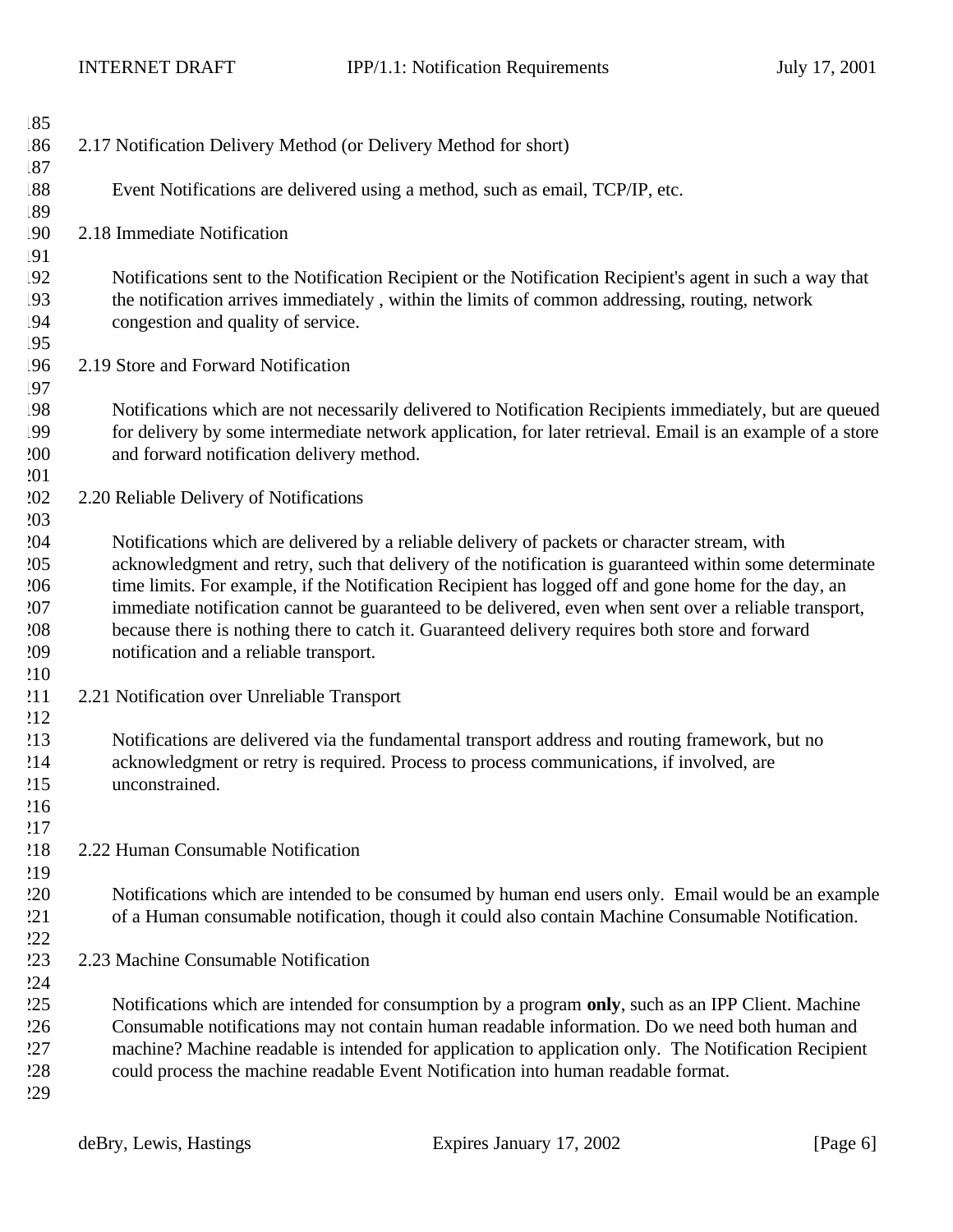| .85        |                                                                                                                                                                                                         |
|------------|---------------------------------------------------------------------------------------------------------------------------------------------------------------------------------------------------------|
| .86        | 2.17 Notification Delivery Method (or Delivery Method for short)                                                                                                                                        |
| .87        |                                                                                                                                                                                                         |
| .88        | Event Notifications are delivered using a method, such as email, TCP/IP, etc.                                                                                                                           |
| .89        |                                                                                                                                                                                                         |
| !90        | 2.18 Immediate Notification                                                                                                                                                                             |
| !91        |                                                                                                                                                                                                         |
| !92        | Notifications sent to the Notification Recipient or the Notification Recipient's agent in such a way that                                                                                               |
| !93        | the notification arrives immediately, within the limits of common addressing, routing, network                                                                                                          |
| !94        | congestion and quality of service.                                                                                                                                                                      |
| !95        |                                                                                                                                                                                                         |
| .96        | 2.19 Store and Forward Notification                                                                                                                                                                     |
| .97        |                                                                                                                                                                                                         |
| !98        | Notifications which are not necessarily delivered to Notification Recipients immediately, but are queued                                                                                                |
| !99        | for delivery by some intermediate network application, for later retrieval. Email is an example of a store                                                                                              |
| 200        | and forward notification delivery method.                                                                                                                                                               |
| 201        |                                                                                                                                                                                                         |
| 202        | 2.20 Reliable Delivery of Notifications                                                                                                                                                                 |
| 203        |                                                                                                                                                                                                         |
| 204        | Notifications which are delivered by a reliable delivery of packets or character stream, with                                                                                                           |
| 205        | acknowledgment and retry, such that delivery of the notification is guaranteed within some determinate                                                                                                  |
| 206        | time limits. For example, if the Notification Recipient has logged off and gone home for the day, an                                                                                                    |
| 207        | immediate notification cannot be guaranteed to be delivered, even when sent over a reliable transport,                                                                                                  |
| 208        | because there is nothing there to catch it. Guaranteed delivery requires both store and forward                                                                                                         |
| 209        | notification and a reliable transport.                                                                                                                                                                  |
| 210        |                                                                                                                                                                                                         |
| 211        | 2.21 Notification over Unreliable Transport                                                                                                                                                             |
| 212        |                                                                                                                                                                                                         |
| 213        | Notifications are delivered via the fundamental transport address and routing framework, but no                                                                                                         |
| 214        | acknowledgment or retry is required. Process to process communications, if involved, are                                                                                                                |
| 215        | unconstrained.                                                                                                                                                                                          |
| 216        |                                                                                                                                                                                                         |
| 217<br>218 | 2.22 Human Consumable Notification                                                                                                                                                                      |
|            |                                                                                                                                                                                                         |
| !19<br>220 |                                                                                                                                                                                                         |
| 221        | Notifications which are intended to be consumed by human end users only. Email would be an example<br>of a Human consumable notification, though it could also contain Machine Consumable Notification. |
| 222        |                                                                                                                                                                                                         |
| 223        | 2.23 Machine Consumable Notification                                                                                                                                                                    |
| 224        |                                                                                                                                                                                                         |
| 225        | Notifications which are intended for consumption by a program only, such as an IPP Client. Machine                                                                                                      |
| 226        | Consumable notifications may not contain human readable information. Do we need both human and                                                                                                          |
| 227        | machine? Machine readable is intended for application to application only. The Notification Recipient                                                                                                   |
| 228        | could process the machine readable Event Notification into human readable format.                                                                                                                       |
| 229        |                                                                                                                                                                                                         |
|            |                                                                                                                                                                                                         |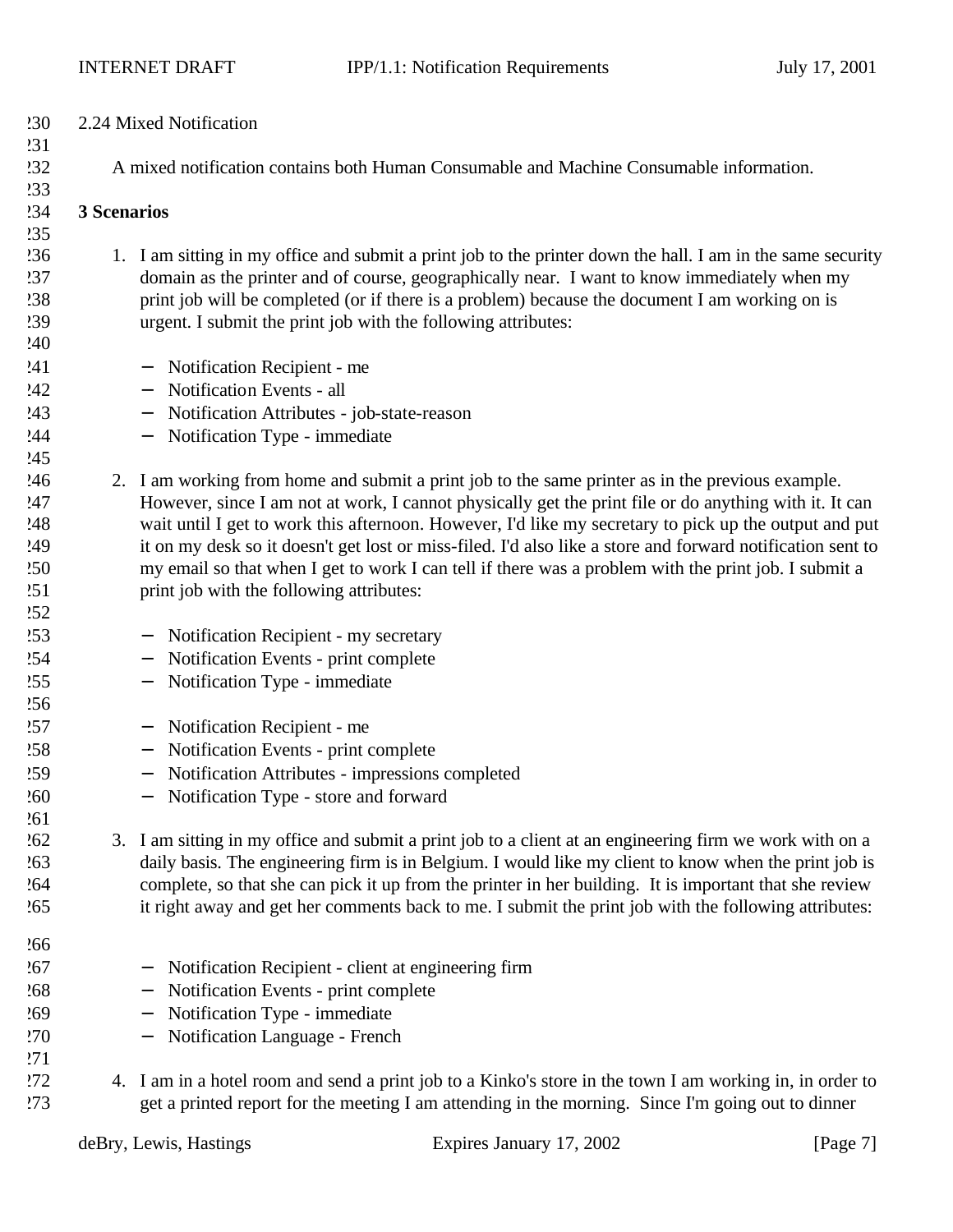| 230 |                                                                                         | 2.24 Mixed Notification                                                                                     |
|-----|-----------------------------------------------------------------------------------------|-------------------------------------------------------------------------------------------------------------|
| 231 |                                                                                         |                                                                                                             |
| 232 | A mixed notification contains both Human Consumable and Machine Consumable information. |                                                                                                             |
| 233 |                                                                                         |                                                                                                             |
| !34 | 3 Scenarios                                                                             |                                                                                                             |
| 235 |                                                                                         |                                                                                                             |
| 236 |                                                                                         | 1. I am sitting in my office and submit a print job to the printer down the hall. I am in the same security |
| 237 |                                                                                         | domain as the printer and of course, geographically near. I want to know immediately when my                |
| !38 |                                                                                         | print job will be completed (or if there is a problem) because the document I am working on is              |
| 239 |                                                                                         | urgent. I submit the print job with the following attributes:                                               |
| 240 |                                                                                         |                                                                                                             |
| 241 |                                                                                         | Notification Recipient - me<br>$\overline{\phantom{m}}$                                                     |
| 242 |                                                                                         | Notification Events - all                                                                                   |
| 243 |                                                                                         | Notification Attributes - job-state-reason<br>$\qquad \qquad -$                                             |
| 244 |                                                                                         | Notification Type - immediate                                                                               |
| 245 |                                                                                         |                                                                                                             |
| 246 |                                                                                         | 2. I am working from home and submit a print job to the same printer as in the previous example.            |
| 247 |                                                                                         | However, since I am not at work, I cannot physically get the print file or do anything with it. It can      |
| 248 |                                                                                         | wait until I get to work this afternoon. However, I'd like my secretary to pick up the output and put       |
| 249 |                                                                                         | it on my desk so it doesn't get lost or miss-filed. I'd also like a store and forward notification sent to  |
| 250 |                                                                                         | my email so that when I get to work I can tell if there was a problem with the print job. I submit a        |
| 251 |                                                                                         | print job with the following attributes:                                                                    |
| .52 |                                                                                         |                                                                                                             |
| 253 |                                                                                         | Notification Recipient - my secretary                                                                       |
| .54 |                                                                                         | Notification Events - print complete<br>$\overline{\phantom{m}}$                                            |
| 255 |                                                                                         | Notification Type - immediate                                                                               |
| 256 |                                                                                         |                                                                                                             |
| 257 |                                                                                         | Notification Recipient - me<br>$\overline{\phantom{0}}$                                                     |
| 258 |                                                                                         | Notification Events - print complete<br>$\qquad \qquad -$                                                   |
| 259 |                                                                                         | Notification Attributes - impressions completed                                                             |
| 260 |                                                                                         | Notification Type - store and forward<br>—                                                                  |
| 261 |                                                                                         |                                                                                                             |
| 262 |                                                                                         | 3. I am sitting in my office and submit a print job to a client at an engineering firm we work with on a    |
| 263 |                                                                                         | daily basis. The engineering firm is in Belgium. I would like my client to know when the print job is       |
| .64 |                                                                                         | complete, so that she can pick it up from the printer in her building. It is important that she review      |
| 265 |                                                                                         | it right away and get her comments back to me. I submit the print job with the following attributes:        |
| 266 |                                                                                         |                                                                                                             |
| 267 |                                                                                         | Notification Recipient - client at engineering firm<br>—                                                    |
| 268 |                                                                                         | Notification Events - print complete                                                                        |
| 269 |                                                                                         | Notification Type - immediate                                                                               |
| 270 |                                                                                         | Notification Language - French                                                                              |
| 271 |                                                                                         |                                                                                                             |
| 272 |                                                                                         | 4. I am in a hotel room and send a print job to a Kinko's store in the town I am working in, in order to    |
| 273 |                                                                                         | get a printed report for the meeting I am attending in the morning. Since I'm going out to dinner           |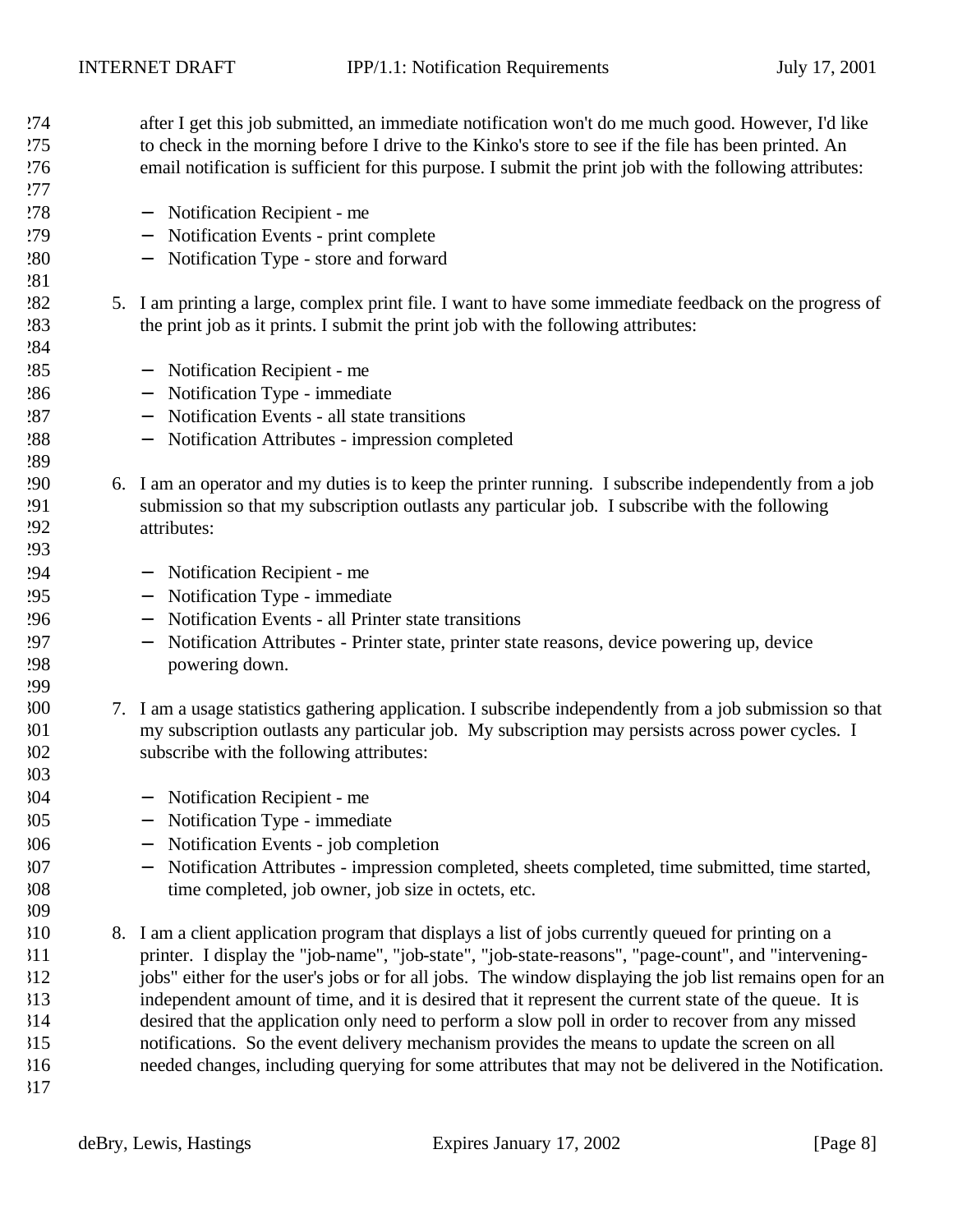| 274        |    | after I get this job submitted, an immediate notification won't do me much good. However, I'd like                          |
|------------|----|-----------------------------------------------------------------------------------------------------------------------------|
| 275        |    | to check in the morning before I drive to the Kinko's store to see if the file has been printed. An                         |
| 276        |    | email notification is sufficient for this purpose. I submit the print job with the following attributes:                    |
| 277        |    |                                                                                                                             |
| 278        |    | Notification Recipient - me<br>$\overline{\phantom{m}}$                                                                     |
| 279        |    | Notification Events - print complete<br>$\overline{\phantom{m}}$                                                            |
| 280        |    | Notification Type - store and forward<br>$\overline{\phantom{m}}$                                                           |
| 281        |    |                                                                                                                             |
| 282        |    | 5. I am printing a large, complex print file. I want to have some immediate feedback on the progress of                     |
| 283        |    | the print job as it prints. I submit the print job with the following attributes:                                           |
| 284        |    |                                                                                                                             |
| 285        |    | Notification Recipient - me<br>$\overline{\phantom{m}}$                                                                     |
| 286        |    | Notification Type - immediate<br>$\overline{\phantom{m}}$                                                                   |
| 287        |    | Notification Events - all state transitions<br>$\overline{\phantom{m}}$                                                     |
| 288        |    | Notification Attributes - impression completed                                                                              |
| 289        |    |                                                                                                                             |
| <b>290</b> | 6. | I am an operator and my duties is to keep the printer running. I subscribe independently from a job                         |
| 291        |    | submission so that my subscription outlasts any particular job. I subscribe with the following                              |
| !92        |    | attributes:                                                                                                                 |
| 293        |    |                                                                                                                             |
| '94        |    | Notification Recipient - me<br>$\overline{\phantom{m}}$                                                                     |
| 295        |    | Notification Type - immediate<br>$\overline{\phantom{m}}$                                                                   |
| 296        |    | Notification Events - all Printer state transitions<br>$\overline{\phantom{m}}$                                             |
| 297        |    | Notification Attributes - Printer state, printer state reasons, device powering up, device<br>$\overline{\phantom{m}}$      |
| 298        |    | powering down.                                                                                                              |
| <b>299</b> |    |                                                                                                                             |
| 300        |    | 7. I am a usage statistics gathering application. I subscribe independently from a job submission so that                   |
| 301        |    | my subscription outlasts any particular job. My subscription may persists across power cycles. I                            |
| 302        |    | subscribe with the following attributes:                                                                                    |
| 303        |    |                                                                                                                             |
| 304        |    | Notification Recipient - me                                                                                                 |
| 305        |    | Notification Type - immediate                                                                                               |
| 306        |    | Notification Events - job completion                                                                                        |
| 307        |    | Notification Attributes - impression completed, sheets completed, time submitted, time started,<br>$\overline{\phantom{m}}$ |
| 308        |    | time completed, job owner, job size in octets, etc.                                                                         |
| 309        |    |                                                                                                                             |
| 310        |    | 8. I am a client application program that displays a list of jobs currently queued for printing on a                        |
| 311        |    | printer. I display the "job-name", "job-state", "job-state-reasons", "page-count", and "intervening-                        |
| 312        |    | jobs" either for the user's jobs or for all jobs. The window displaying the job list remains open for an                    |
| 313        |    | independent amount of time, and it is desired that it represent the current state of the queue. It is                       |
| 314        |    | desired that the application only need to perform a slow poll in order to recover from any missed                           |
| 315        |    | notifications. So the event delivery mechanism provides the means to update the screen on all                               |
| 316        |    | needed changes, including querying for some attributes that may not be delivered in the Notification.                       |
| 317        |    |                                                                                                                             |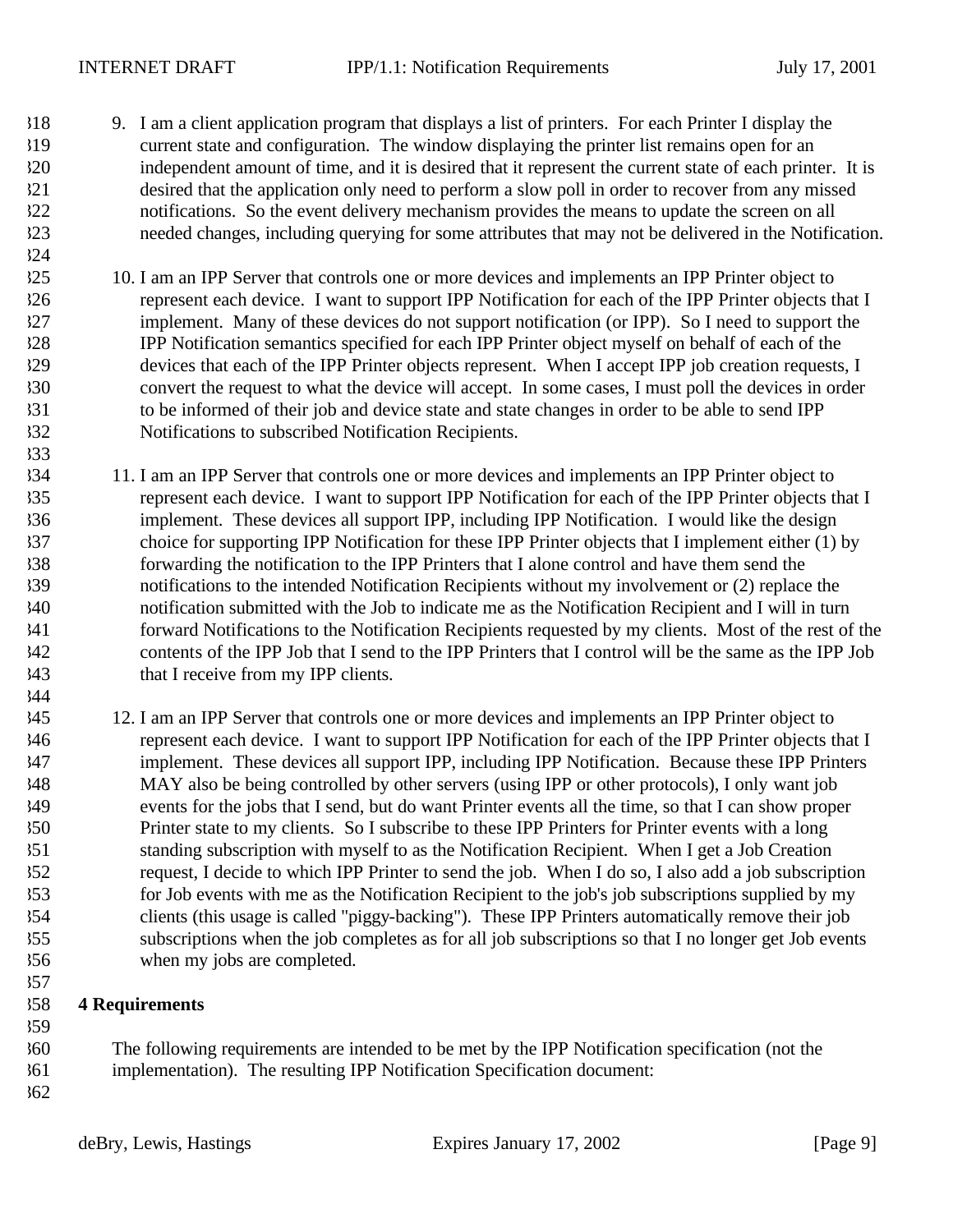- 9. I am a client application program that displays a list of printers. For each Printer I display the current state and configuration. The window displaying the printer list remains open for an independent amount of time, and it is desired that it represent the current state of each printer. It is desired that the application only need to perform a slow poll in order to recover from any missed notifications. So the event delivery mechanism provides the means to update the screen on all needed changes, including querying for some attributes that may not be delivered in the Notification.
- 10. I am an IPP Server that controls one or more devices and implements an IPP Printer object to represent each device. I want to support IPP Notification for each of the IPP Printer objects that I implement. Many of these devices do not support notification (or IPP). So I need to support the IPP Notification semantics specified for each IPP Printer object myself on behalf of each of the devices that each of the IPP Printer objects represent. When I accept IPP job creation requests, I convert the request to what the device will accept. In some cases, I must poll the devices in order to be informed of their job and device state and state changes in order to be able to send IPP Notifications to subscribed Notification Recipients.
- 11. I am an IPP Server that controls one or more devices and implements an IPP Printer object to represent each device. I want to support IPP Notification for each of the IPP Printer objects that I implement. These devices all support IPP, including IPP Notification. I would like the design choice for supporting IPP Notification for these IPP Printer objects that I implement either (1) by forwarding the notification to the IPP Printers that I alone control and have them send the notifications to the intended Notification Recipients without my involvement or (2) replace the notification submitted with the Job to indicate me as the Notification Recipient and I will in turn forward Notifications to the Notification Recipients requested by my clients. Most of the rest of the contents of the IPP Job that I send to the IPP Printers that I control will be the same as the IPP Job that I receive from my IPP clients.
- 12. I am an IPP Server that controls one or more devices and implements an IPP Printer object to represent each device. I want to support IPP Notification for each of the IPP Printer objects that I implement. These devices all support IPP, including IPP Notification. Because these IPP Printers MAY also be being controlled by other servers (using IPP or other protocols), I only want job events for the jobs that I send, but do want Printer events all the time, so that I can show proper Printer state to my clients. So I subscribe to these IPP Printers for Printer events with a long standing subscription with myself to as the Notification Recipient. When I get a Job Creation request, I decide to which IPP Printer to send the job. When I do so, I also add a job subscription for Job events with me as the Notification Recipient to the job's job subscriptions supplied by my clients (this usage is called "piggy-backing"). These IPP Printers automatically remove their job subscriptions when the job completes as for all job subscriptions so that I no longer get Job events when my jobs are completed.

### **4 Requirements**

- The following requirements are intended to be met by the IPP Notification specification (not the
- implementation). The resulting IPP Notification Specification document:
	-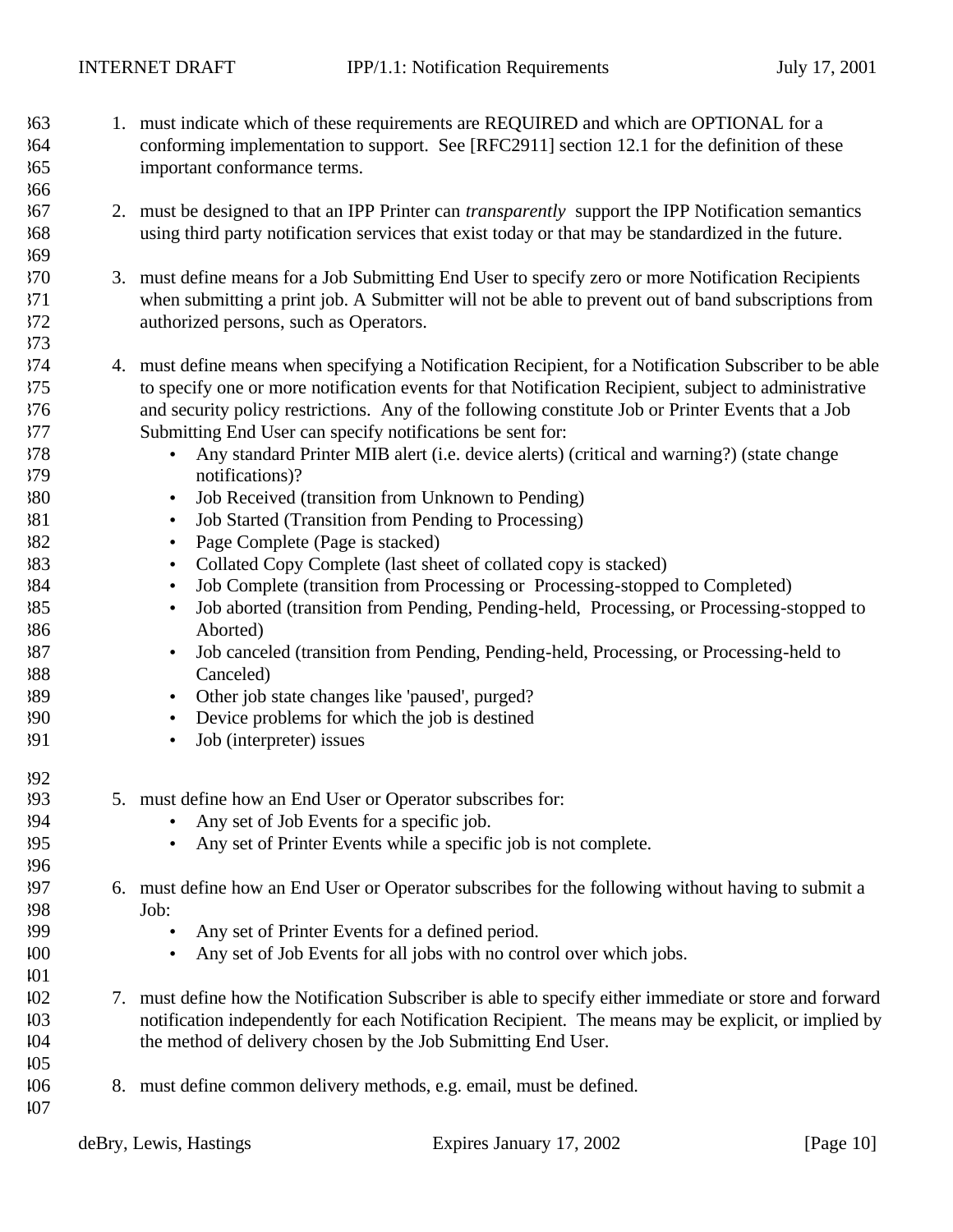- 1. must indicate which of these requirements are REQUIRED and which are OPTIONAL for a conforming implementation to support. See [RFC2911] section 12.1 for the definition of these important conformance terms.
- 2. must be designed to that an IPP Printer can *transparently* support the IPP Notification semantics using third party notification services that exist today or that may be standardized in the future.
- 3. must define means for a Job Submitting End User to specify zero or more Notification Recipients when submitting a print job. A Submitter will not be able to prevent out of band subscriptions from authorized persons, such as Operators.
- 4. must define means when specifying a Notification Recipient, for a Notification Subscriber to be able to specify one or more notification events for that Notification Recipient, subject to administrative and security policy restrictions. Any of the following constitute Job or Printer Events that a Job Submitting End User can specify notifications be sent for:
- Any standard Printer MIB alert (i.e. device alerts) (critical and warning?) (state change notifications)?
- Job Received (transition from Unknown to Pending)
- Job Started (Transition from Pending to Processing)
- Page Complete (Page is stacked)
- Collated Copy Complete (last sheet of collated copy is stacked)
- Job Complete (transition from Processing or Processing-stopped to Completed)
- Job aborted (transition from Pending, Pending-held, Processing, or Processing-stopped to Aborted)
- Job canceled (transition from Pending, Pending-held, Processing, or Processing-held to Canceled)
- Other job state changes like 'paused', purged?
- Device problems for which the job is destined
- Job (interpreter) issues
- 5. must define how an End User or Operator subscribes for:
- Any set of Job Events for a specific job.
- Any set of Printer Events while a specific job is not complete.
- 6. must define how an End User or Operator subscribes for the following without having to submit a Job:
- Any set of Printer Events for a defined period.
- Any set of Job Events for all jobs with no control over which jobs.
- 7. must define how the Notification Subscriber is able to specify either immediate or store and forward notification independently for each Notification Recipient. The means may be explicit, or implied by the method of delivery chosen by the Job Submitting End User.
- 8. must define common delivery methods, e.g. email, must be defined.
-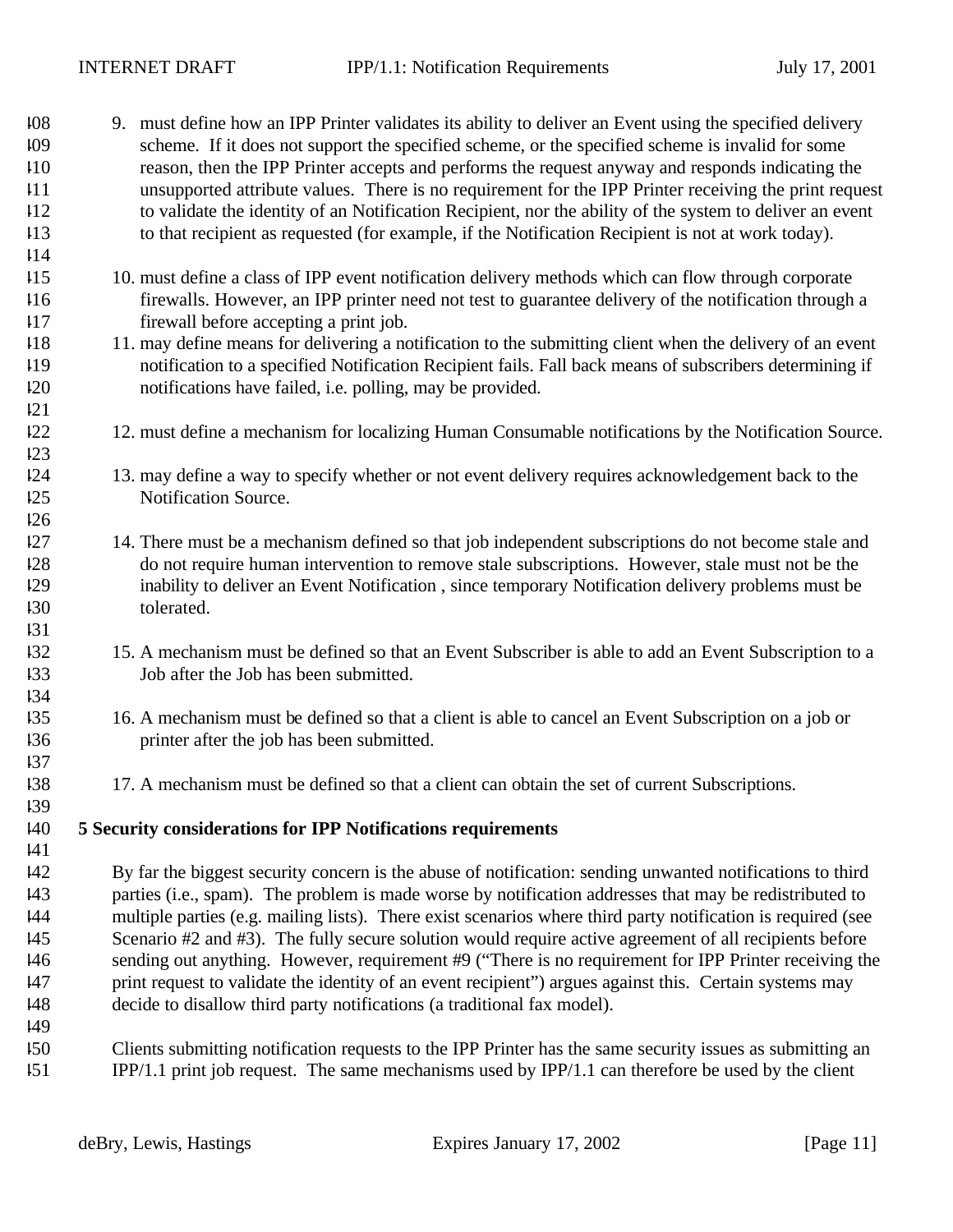| 108<br>109<br>110<br>111<br>112 | 9. must define how an IPP Printer validates its ability to deliver an Event using the specified delivery<br>scheme. If it does not support the specified scheme, or the specified scheme is invalid for some<br>reason, then the IPP Printer accepts and performs the request anyway and responds indicating the<br>unsupported attribute values. There is no requirement for the IPP Printer receiving the print request<br>to validate the identity of an Notification Recipient, nor the ability of the system to deliver an event |
|---------------------------------|---------------------------------------------------------------------------------------------------------------------------------------------------------------------------------------------------------------------------------------------------------------------------------------------------------------------------------------------------------------------------------------------------------------------------------------------------------------------------------------------------------------------------------------|
| 113<br>114                      | to that recipient as requested (for example, if the Notification Recipient is not at work today).                                                                                                                                                                                                                                                                                                                                                                                                                                     |
| 115<br>116<br>117               | 10. must define a class of IPP event notification delivery methods which can flow through corporate<br>firewalls. However, an IPP printer need not test to guarantee delivery of the notification through a<br>firewall before accepting a print job.                                                                                                                                                                                                                                                                                 |
| 118<br>119<br>120<br>121        | 11. may define means for delivering a notification to the submitting client when the delivery of an event<br>notification to a specified Notification Recipient fails. Fall back means of subscribers determining if<br>notifications have failed, i.e. polling, may be provided.                                                                                                                                                                                                                                                     |
| 122<br>123                      | 12. must define a mechanism for localizing Human Consumable notifications by the Notification Source.                                                                                                                                                                                                                                                                                                                                                                                                                                 |
| 124<br>125<br>126               | 13. may define a way to specify whether or not event delivery requires acknowledgement back to the<br>Notification Source.                                                                                                                                                                                                                                                                                                                                                                                                            |
| 127<br>128<br>129<br>130<br>131 | 14. There must be a mechanism defined so that job independent subscriptions do not become stale and<br>do not require human intervention to remove stale subscriptions. However, stale must not be the<br>inability to deliver an Event Notification, since temporary Notification delivery problems must be<br>tolerated.                                                                                                                                                                                                            |
| 132<br>133<br>134               | 15. A mechanism must be defined so that an Event Subscriber is able to add an Event Subscription to a<br>Job after the Job has been submitted.                                                                                                                                                                                                                                                                                                                                                                                        |
| 135<br>136<br>137               | 16. A mechanism must be defined so that a client is able to cancel an Event Subscription on a job or<br>printer after the job has been submitted.                                                                                                                                                                                                                                                                                                                                                                                     |
| 138<br>139                      | 17. A mechanism must be defined so that a client can obtain the set of current Subscriptions.                                                                                                                                                                                                                                                                                                                                                                                                                                         |
| 140<br> 41                      | 5 Security considerations for IPP Notifications requirements                                                                                                                                                                                                                                                                                                                                                                                                                                                                          |
| 142<br>143                      | By far the biggest security concern is the abuse of notification: sending unwanted notifications to third<br>parties (i.e., spam). The problem is made worse by notification addresses that may be redistributed to                                                                                                                                                                                                                                                                                                                   |
| 144<br>145<br>146<br>147<br>148 | multiple parties (e.g. mailing lists). There exist scenarios where third party notification is required (see<br>Scenario #2 and #3). The fully secure solution would require active agreement of all recipients before<br>sending out anything. However, requirement #9 ("There is no requirement for IPP Printer receiving the<br>print request to validate the identity of an event recipient") argues against this. Certain systems may<br>decide to disallow third party notifications (a traditional fax model).                 |
| 149<br>150<br>151               | Clients submitting notification requests to the IPP Printer has the same security issues as submitting an<br>IPP/1.1 print job request. The same mechanisms used by IPP/1.1 can therefore be used by the client                                                                                                                                                                                                                                                                                                                       |
|                                 |                                                                                                                                                                                                                                                                                                                                                                                                                                                                                                                                       |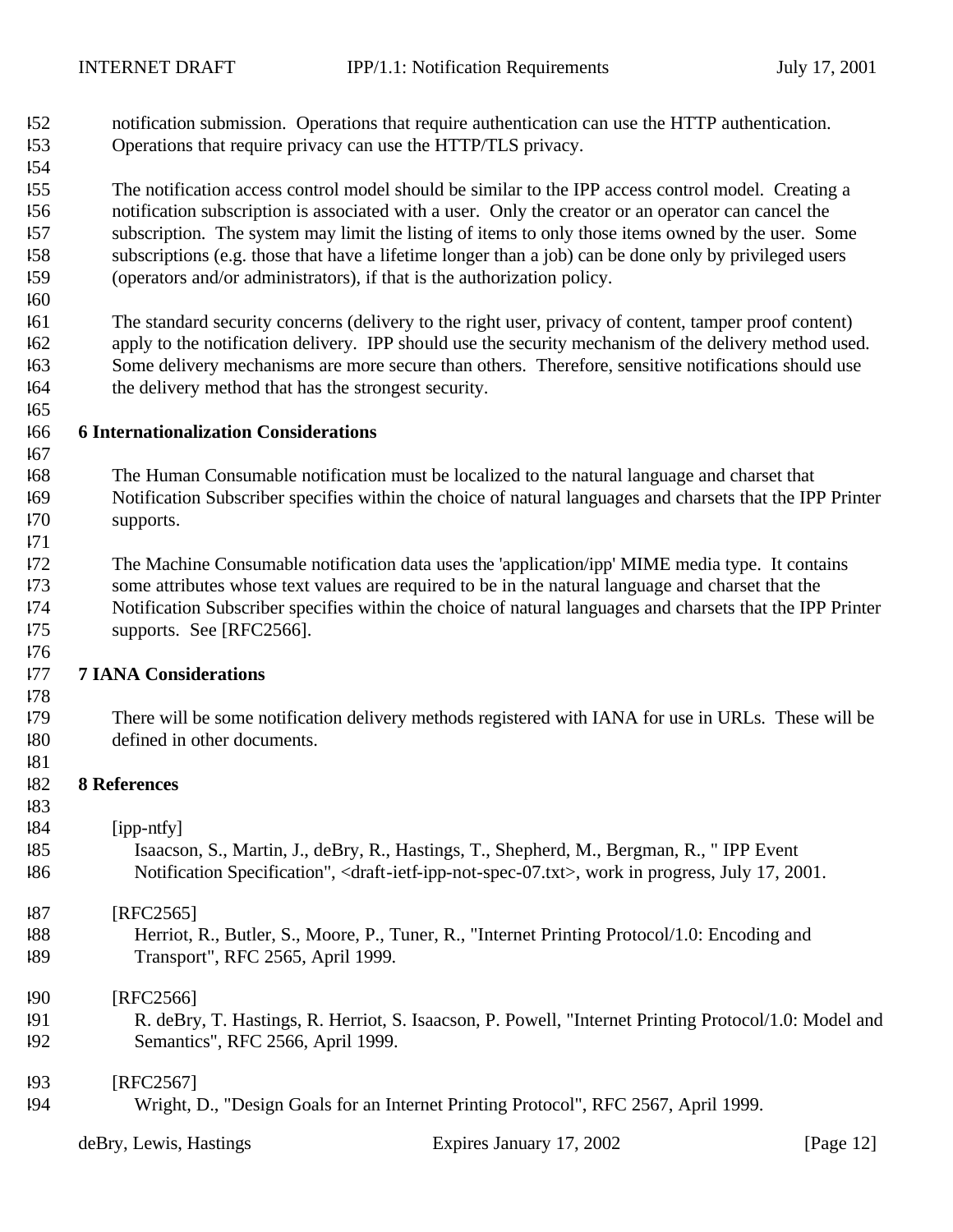- notification submission. Operations that require authentication can use the HTTP authentication. Operations that require privacy can use the HTTP/TLS privacy.
- 

 The notification access control model should be similar to the IPP access control model. Creating a notification subscription is associated with a user. Only the creator or an operator can cancel the subscription. The system may limit the listing of items to only those items owned by the user. Some subscriptions (e.g. those that have a lifetime longer than a job) can be done only by privileged users (operators and/or administrators), if that is the authorization policy.

 The standard security concerns (delivery to the right user, privacy of content, tamper proof content) apply to the notification delivery. IPP should use the security mechanism of the delivery method used. Some delivery mechanisms are more secure than others. Therefore, sensitive notifications should use the delivery method that has the strongest security.

### **6 Internationalization Considerations**

- The Human Consumable notification must be localized to the natural language and charset that Notification Subscriber specifies within the choice of natural languages and charsets that the IPP Printer supports.
- 

 The Machine Consumable notification data uses the 'application/ipp' MIME media type. It contains some attributes whose text values are required to be in the natural language and charset that the Notification Subscriber specifies within the choice of natural languages and charsets that the IPP Printer

- supports. See [RFC2566].
- 

## **7 IANA Considerations**

- 
- 
- There will be some notification delivery methods registered with IANA for use in URLs. These will be defined in other documents.
- **8 References**
- 
- $|84$  [ipp-ntfy]

| 185 | Isaacson, S., Martin, J., deBry, R., Hastings, T., Shepherd, M., Bergman, R., "IPP Event                                         |
|-----|----------------------------------------------------------------------------------------------------------------------------------|
| 186 | Notification Specification", <draft-ietf-ipp-not-spec-07.txt>, work in progress, July 17, 2001.</draft-ietf-ipp-not-spec-07.txt> |

#### [RFC2565]

- Herriot, R., Butler, S., Moore, P., Tuner, R., "Internet Printing Protocol/1.0: Encoding and Transport", RFC 2565, April 1999.
- [RFC2566]
- R. deBry, T. Hastings, R. Herriot, S. Isaacson, P. Powell, "Internet Printing Protocol/1.0: Model and Semantics", RFC 2566, April 1999.

#### [RFC2567]

Wright, D., "Design Goals for an Internet Printing Protocol", RFC 2567, April 1999.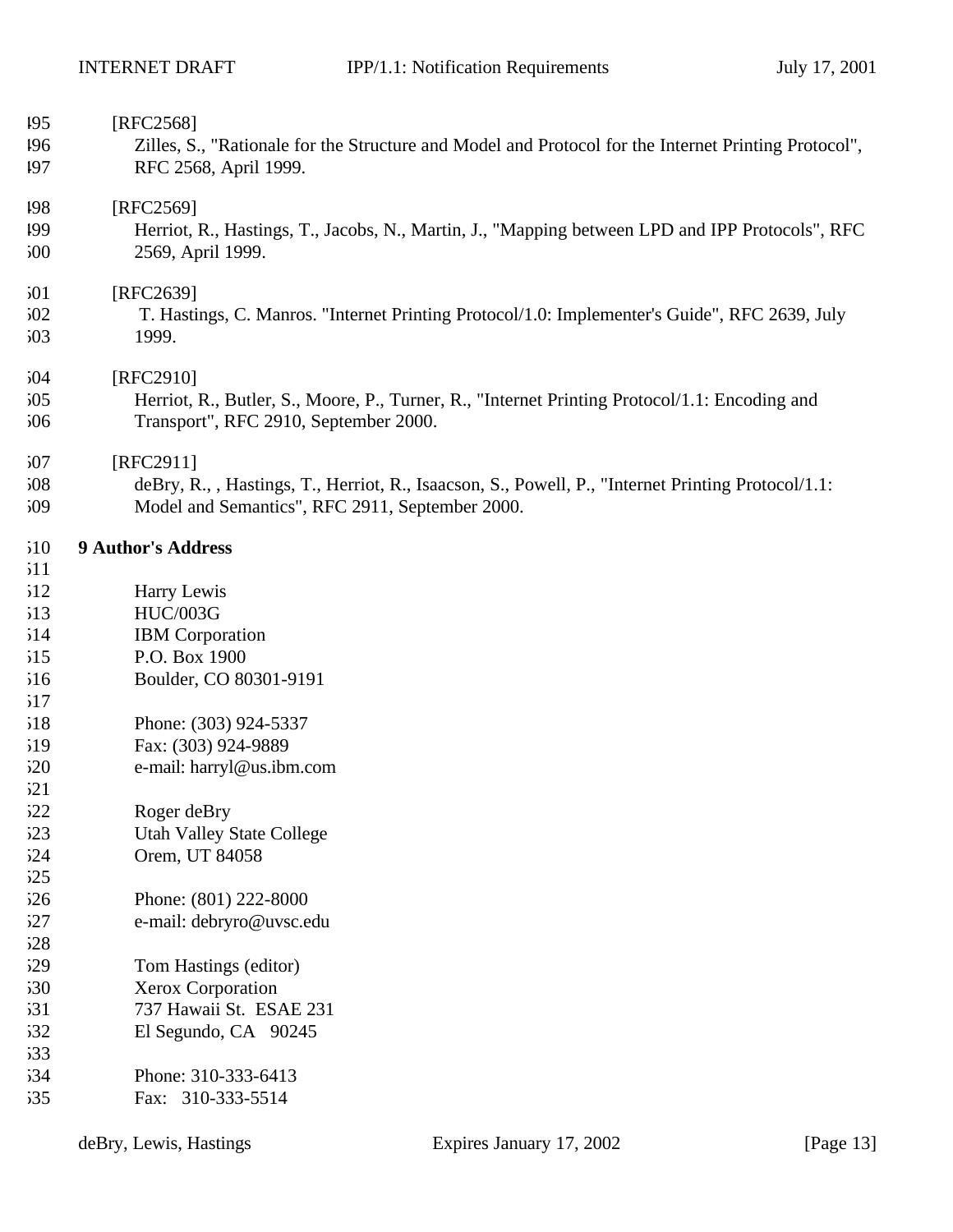| 195        | [RFC2568]                                                                                                                              |
|------------|----------------------------------------------------------------------------------------------------------------------------------------|
| 196        | Zilles, S., "Rationale for the Structure and Model and Protocol for the Internet Printing Protocol",                                   |
| 197        | RFC 2568, April 1999.                                                                                                                  |
|            |                                                                                                                                        |
| 198        | [RFC2569]                                                                                                                              |
| 199        | Herriot, R., Hastings, T., Jacobs, N., Martin, J., "Mapping between LPD and IPP Protocols", RFC                                        |
| 500        | 2569, April 1999.                                                                                                                      |
| 501        | [RFC2639]                                                                                                                              |
| 502        | T. Hastings, C. Manros. "Internet Printing Protocol/1.0: Implementer's Guide", RFC 2639, July                                          |
| 503        | 1999.                                                                                                                                  |
| 504        | [RFC2910]                                                                                                                              |
|            |                                                                                                                                        |
| 505<br>506 | Herriot, R., Butler, S., Moore, P., Turner, R., "Internet Printing Protocol/1.1: Encoding and<br>Transport", RFC 2910, September 2000. |
| 507        | [RFC2911]                                                                                                                              |
| 508        | deBry, R., , Hastings, T., Herriot, R., Isaacson, S., Powell, P., "Internet Printing Protocol/1.1:                                     |
| 509        | Model and Semantics", RFC 2911, September 2000.                                                                                        |
|            |                                                                                                                                        |
| 510        | <b>9 Author's Address</b>                                                                                                              |
| 511        |                                                                                                                                        |
| 512        | Harry Lewis                                                                                                                            |
| 513        | <b>HUC/003G</b>                                                                                                                        |
| 514        | <b>IBM</b> Corporation                                                                                                                 |
| 515        | P.O. Box 1900                                                                                                                          |
| 516        | Boulder, CO 80301-9191                                                                                                                 |
| 517        |                                                                                                                                        |
| 518        | Phone: (303) 924-5337                                                                                                                  |
| 519        | Fax: (303) 924-9889                                                                                                                    |
| 520        | e-mail: harryl@us.ibm.com                                                                                                              |
| 521        |                                                                                                                                        |
| 522        | Roger deBry                                                                                                                            |
| 523        | <b>Utah Valley State College</b>                                                                                                       |
| 524        | Orem, UT 84058                                                                                                                         |
|            |                                                                                                                                        |
| 525        |                                                                                                                                        |
| 526        | Phone: (801) 222-8000                                                                                                                  |
| 527        | e-mail: debryro@uvsc.edu                                                                                                               |
| 528        |                                                                                                                                        |
| 529        | Tom Hastings (editor)                                                                                                                  |
| 530        | Xerox Corporation                                                                                                                      |
| 531        | 737 Hawaii St. ESAE 231                                                                                                                |
| 532        | El Segundo, CA 90245                                                                                                                   |
| 533        |                                                                                                                                        |
| 534        | Phone: 310-333-6413                                                                                                                    |
| 535        | Fax: 310-333-5514                                                                                                                      |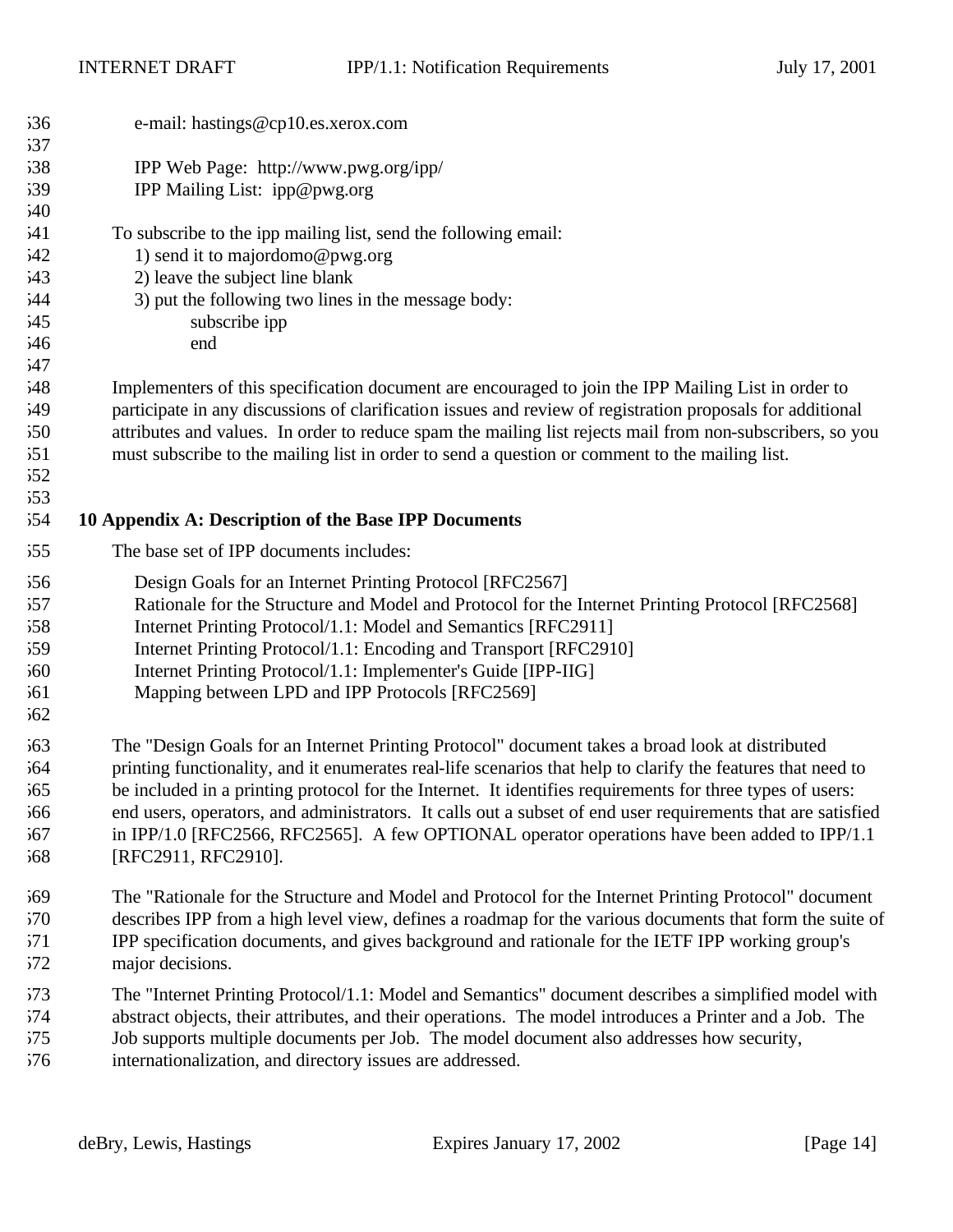| 536 | e-mail: hastings@cp10.es.xerox.com                                                                           |
|-----|--------------------------------------------------------------------------------------------------------------|
| 537 |                                                                                                              |
| 538 | IPP Web Page: http://www.pwg.org/ipp/                                                                        |
| 539 | IPP Mailing List: ipp@pwg.org                                                                                |
| 540 |                                                                                                              |
| 541 | To subscribe to the ipp mailing list, send the following email:                                              |
| 542 | 1) send it to majordomo@pwg.org                                                                              |
| 543 | 2) leave the subject line blank                                                                              |
| 544 | 3) put the following two lines in the message body:                                                          |
| 545 | subscribe ipp                                                                                                |
| 546 | end                                                                                                          |
| 547 |                                                                                                              |
| 548 | Implementers of this specification document are encouraged to join the IPP Mailing List in order to          |
| 549 | participate in any discussions of clarification issues and review of registration proposals for additional   |
| 550 | attributes and values. In order to reduce spam the mailing list rejects mail from non-subscribers, so you    |
| 551 | must subscribe to the mailing list in order to send a question or comment to the mailing list.               |
| 552 |                                                                                                              |
| 553 |                                                                                                              |
| 554 | 10 Appendix A: Description of the Base IPP Documents                                                         |
| 555 | The base set of IPP documents includes:                                                                      |
| 556 | Design Goals for an Internet Printing Protocol [RFC2567]                                                     |
| 557 | Rationale for the Structure and Model and Protocol for the Internet Printing Protocol [RFC2568]              |
| 558 | Internet Printing Protocol/1.1: Model and Semantics [RFC2911]                                                |
| 559 | Internet Printing Protocol/1.1: Encoding and Transport [RFC2910]                                             |
| 560 | Internet Printing Protocol/1.1: Implementer's Guide [IPP-IIG]                                                |
| 561 | Mapping between LPD and IPP Protocols [RFC2569]                                                              |
| 562 |                                                                                                              |
| 563 | The "Design Goals for an Internet Printing Protocol" document takes a broad look at distributed              |
| 564 | printing functionality, and it enumerates real-life scenarios that help to clarify the features that need to |
| 565 | be included in a printing protocol for the Internet. It identifies requirements for three types of users:    |
| 66  | end users, operators, and administrators. It calls out a subset of end user requirements that are satisfied  |
| 567 | in IPP/1.0 [RFC2566, RFC2565]. A few OPTIONAL operator operations have been added to IPP/1.1                 |
| 568 | [RFC2911, RFC2910].                                                                                          |
|     |                                                                                                              |
| 569 | The "Rationale for the Structure and Model and Protocol for the Internet Printing Protocol" document         |
| 570 | describes IPP from a high level view, defines a roadmap for the various documents that form the suite of     |
| 571 | IPP specification documents, and gives background and rationale for the IETF IPP working group's             |
| 572 | major decisions.                                                                                             |
| 573 | The "Internet Printing Protocol/1.1: Model and Semantics" document describes a simplified model with         |
| 574 | abstract objects, their attributes, and their operations. The model introduces a Printer and a Job. The      |
| 575 | Job supports multiple documents per Job. The model document also addresses how security,                     |
| 576 | internationalization, and directory issues are addressed.                                                    |
|     |                                                                                                              |